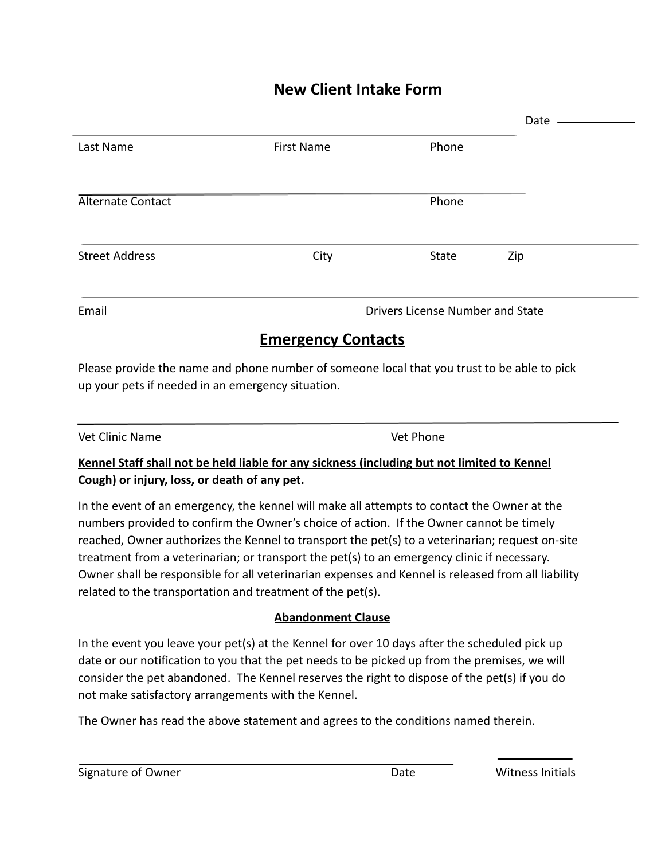## **New Client Intake Form**

|                                  |                                                   | Date |                                                                                             |
|----------------------------------|---------------------------------------------------|------|---------------------------------------------------------------------------------------------|
| <b>First Name</b>                | Phone                                             |      |                                                                                             |
|                                  | Phone                                             |      |                                                                                             |
| City                             | <b>State</b>                                      | Zip  |                                                                                             |
| Drivers License Number and State |                                                   |      |                                                                                             |
| <b>Emergency Contacts</b>        |                                                   |      |                                                                                             |
|                                  |                                                   |      |                                                                                             |
|                                  | up your pets if needed in an emergency situation. |      | Please provide the name and phone number of someone local that you trust to be able to pick |

# Vet Clinic Name Vet Phone

#### **Kennel Staff shall not be held liable for any sickness (including but not limited to Kennel Cough) or injury, loss, or death of any pet.**

In the event of an emergency, the kennel will make all attempts to contact the Owner at the numbers provided to confirm the Owner's choice of action. If the Owner cannot be timely reached, Owner authorizes the Kennel to transport the pet(s) to a veterinarian; request on-site treatment from a veterinarian; or transport the pet(s) to an emergency clinic if necessary. Owner shall be responsible for all veterinarian expenses and Kennel is released from all liability related to the transportation and treatment of the pet(s).

### **Abandonment Clause**

In the event you leave your pet(s) at the Kennel for over 10 days after the scheduled pick up date or our notification to you that the pet needs to be picked up from the premises, we will consider the pet abandoned. The Kennel reserves the right to dispose of the pet(s) if you do not make satisfactory arrangements with the Kennel.

The Owner has read the above statement and agrees to the conditions named therein.